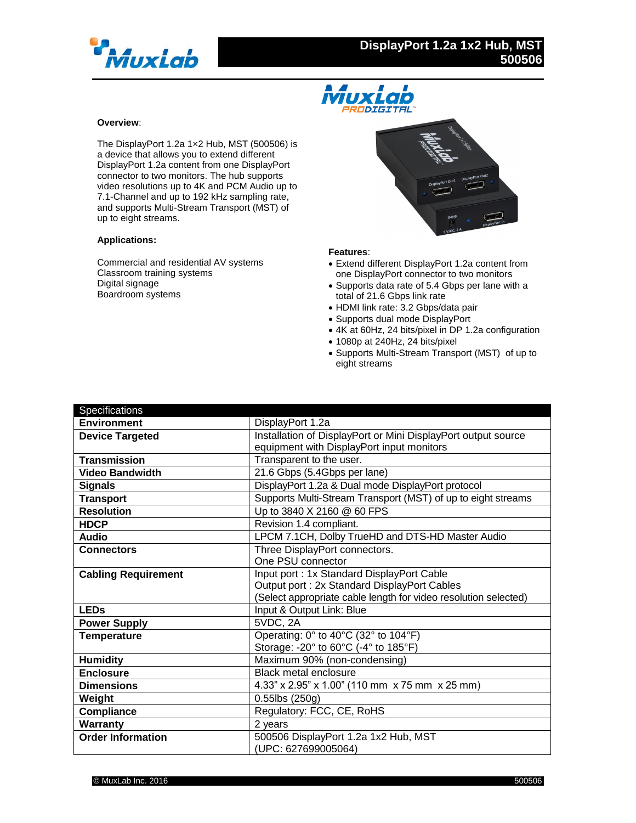



## **Overview**:

The DisplayPort 1.2a 1×2 Hub, MST (500506) is a device that allows you to extend different DisplayPort 1.2a content from one DisplayPort connector to two monitors. The hub supports video resolutions up to 4K and PCM Audio up to 7.1-Channel and up to 192 kHz sampling rate, and supports Multi-Stream Transport (MST) of up to eight streams.

## **Applications:**

Commercial and residential AV systems Classroom training systems Digital signage Boardroom systems



## **Features**:

- Extend different DisplayPort 1.2a content from one DisplayPort connector to two monitors
- Supports data rate of 5.4 Gbps per lane with a total of 21.6 Gbps link rate
- HDMI link rate: 3.2 Gbps/data pair
- Supports dual mode DisplayPort
- 4K at 60Hz, 24 bits/pixel in DP 1.2a configuration
- 1080p at 240Hz, 24 bits/pixel
- Supports Multi-Stream Transport (MST) of up to eight streams

| Specifications             |                                                                 |
|----------------------------|-----------------------------------------------------------------|
| <b>Environment</b>         | DisplayPort 1.2a                                                |
| <b>Device Targeted</b>     | Installation of DisplayPort or Mini DisplayPort output source   |
|                            | equipment with DisplayPort input monitors                       |
| <b>Transmission</b>        | Transparent to the user.                                        |
| <b>Video Bandwidth</b>     | 21.6 Gbps (5.4Gbps per lane)                                    |
| <b>Signals</b>             | DisplayPort 1.2a & Dual mode DisplayPort protocol               |
| <b>Transport</b>           | Supports Multi-Stream Transport (MST) of up to eight streams    |
| <b>Resolution</b>          | Up to 3840 X 2160 @ 60 FPS                                      |
| <b>HDCP</b>                | Revision 1.4 compliant.                                         |
| <b>Audio</b>               | LPCM 7.1CH, Dolby TrueHD and DTS-HD Master Audio                |
| <b>Connectors</b>          | Three DisplayPort connectors.                                   |
|                            | One PSU connector                                               |
| <b>Cabling Requirement</b> | Input port: 1x Standard DisplayPort Cable                       |
|                            | Output port: 2x Standard DisplayPort Cables                     |
|                            | (Select appropriate cable length for video resolution selected) |
| <b>LEDs</b>                | Input & Output Link: Blue                                       |
| <b>Power Supply</b>        | 5VDC, 2A                                                        |
| <b>Temperature</b>         | Operating: 0° to 40°C (32° to 104°F)                            |
|                            | Storage: -20° to 60°C (-4° to 185°F)                            |
| <b>Humidity</b>            | Maximum 90% (non-condensing)                                    |
| <b>Enclosure</b>           | Black metal enclosure                                           |
| <b>Dimensions</b>          | 4.33" x 2.95" x 1.00" (110 mm x 75 mm x 25 mm)                  |
| Weight                     | $0.55$ lbs $(250g)$                                             |
| Compliance                 | Regulatory: FCC, CE, RoHS                                       |
| Warranty                   | 2 years                                                         |
| <b>Order Information</b>   | 500506 DisplayPort 1.2a 1x2 Hub, MST                            |
|                            | (UPC: 627699005064)                                             |